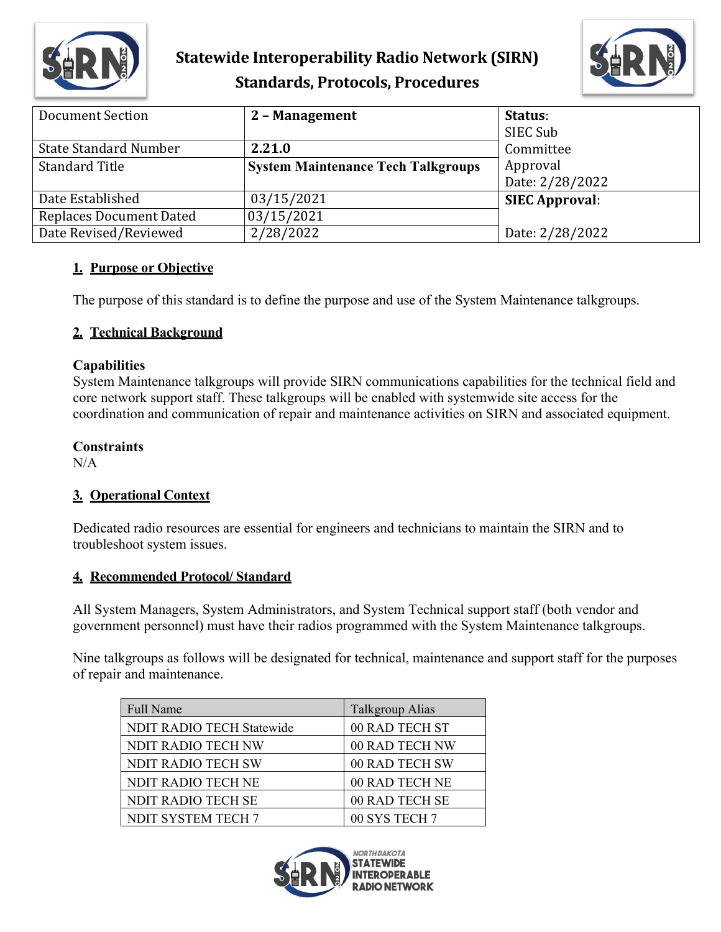

# **Statewide Interoperability Radio Network (SIRN) Standards, Protocols, Procedures**



| Document Section               | 2 - Management                            | Status:               |
|--------------------------------|-------------------------------------------|-----------------------|
|                                |                                           | SIEC Sub              |
| <b>State Standard Number</b>   | 2.21.0                                    | Committee             |
| <b>Standard Title</b>          | <b>System Maintenance Tech Talkgroups</b> | Approval              |
|                                |                                           | Date: 2/28/2022       |
| Date Established               | 03/15/2021                                | <b>SIEC Approval:</b> |
| <b>Replaces Document Dated</b> | 03/15/2021                                |                       |
| Date Revised/Reviewed          | 2/28/2022                                 | Date: 2/28/2022       |

## **1. Purpose or Objective**

The purpose of this standard is to define the purpose and use of the System Maintenance talkgroups.

## **2. Technical Background**

## **Capabilities**

System Maintenance talkgroups will provide SIRN communications capabilities for the technical field and core network support staff. These talkgroups will be enabled with systemwide site access for the coordination and communication of repair and maintenance activities on SIRN and associated equipment.

#### **Constraints**

 $N/A$ 

## **3. Operational Context**

Dedicated radio resources are essential for engineers and technicians to maintain the SIRN and to troubleshoot system issues.

## **4. Recommended Protocol/ Standard**

All System Managers, System Administrators, and System Technical support staff (both vendor and government personnel) must have their radios programmed with the System Maintenance talkgroups.

Nine talkgroups as follows will be designated for technical, maintenance and support staff for the purposes of repair and maintenance.

| <b>Full Name</b>                 | Talkgroup Alias |
|----------------------------------|-----------------|
| <b>NDIT RADIO TECH Statewide</b> | 00 RAD TECH ST  |
| <b>NDIT RADIO TECH NW</b>        | 00 RAD TECH NW  |
| NDIT RADIO TECH SW               | 00 RAD TECH SW  |
| <b>NDIT RADIO TECH NE</b>        | 00 RAD TECH NE  |
| <b>NDIT RADIO TECH SE</b>        | 00 RAD TECH SE  |
| NDIT SYSTEM TECH 7               | 00 SYS TECH 7   |